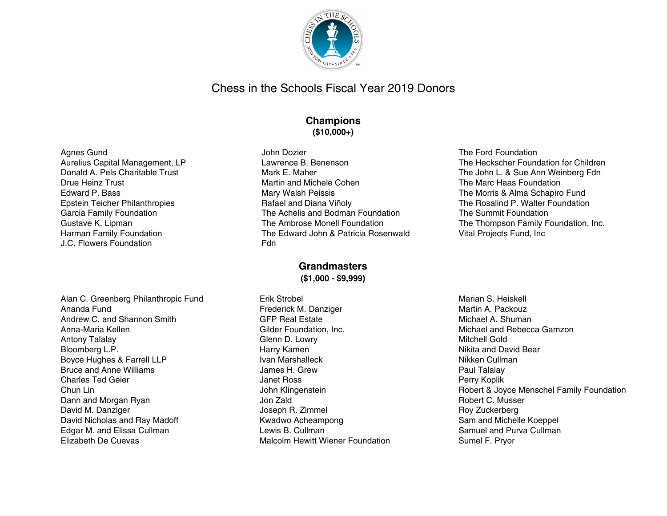

# Chess in the Schools Fiscal Year 2019 Donors

## **Champions (\$10,000+)**

John Dozier

Fdn

#### Agnes Gund Aurelius Capital Management, LP Donald A. Pels Charitable Trust Drue Heinz Trust Edward P. Bass Epstein Teicher Philanthropies Garcia Family Foundation Gustave K. Lipman Harman Family Foundation J.C. Flowers Foundation

Lawrence B. Benenson Mark E. Maher Martin and Michele Cohen Mary Walsh Peissis Rafael and Diana Viñoly The Achelis and Bodman Foundation The Ambrose Monell Foundation The Edward John & Patricia Rosenwald

## **Grandmasters (\$1,000 - \$9,999)**

Erik Strobel Frederick M. Danziger GFP Real Estate Gilder Foundation, Inc. Glenn D. Lowry Harry Kamen Ivan Marshalleck James H. Grew Janet Ross John Klingenstein Jon Zald Joseph R. Zimmel Kwadwo Acheampong Lewis B. Cullman Malcolm Hewitt Wiener Foundation The Ford Foundation The Heckscher Foundation for Children The John L. & Sue Ann Weinberg Fdn The Marc Haas Foundation The Morris & Alma Schapiro Fund The Rosalind P. Walter Foundation The Summit Foundation The Thompson Family Foundation, Inc. Vital Projects Fund, Inc

Marian S. Heiskell Martin A. Packouz Michael A. Shuman Michael and Rebecca Gamzon Mitchell Gold Nikita and David Bear Nikken Cullman Paul Talalay Perry Koplik Robert & Joyce Menschel Family Foundation Robert C. Musser Roy Zuckerberg Sam and Michelle Koeppel Samuel and Purva Cullman Sumel F. Pryor

Alan C. Greenberg Philanthropic Fund Ananda Fund Andrew C. and Shannon Smith Anna-Maria Kellen Antony Talalay Bloomberg L.P. Boyce Hughes & Farrell LLP Bruce and Anne Williams Charles Ted Geier Chun Lin Dann and Morgan Ryan David M. Danziger David Nicholas and Ray Madoff Edgar M. and Elissa Cullman Elizabeth De Cuevas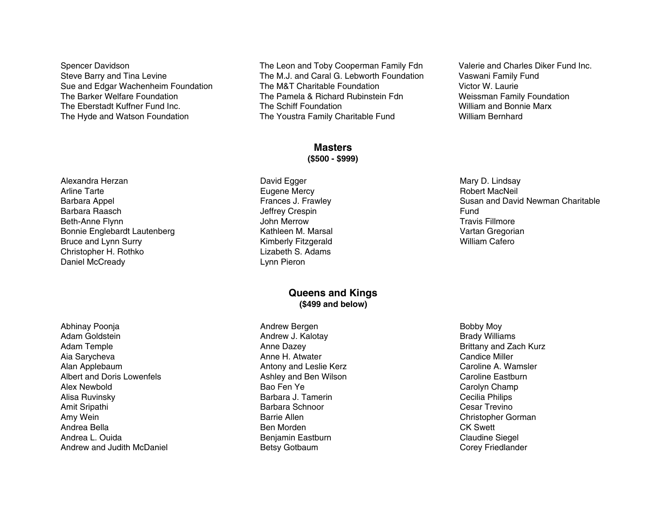Spencer Davidson Steve Barry and Tina Levine Sue and Edgar Wachenheim Foundation The Barker Welfare Foundation The Eberstadt Kuffner Fund Inc. The Hyde and Watson Foundation

The Leon and Toby Cooperman Family Fdn The M.J. and Caral G. Lebworth Foundation The M&T Charitable Foundation The Pamela & Richard Rubinstein Fdn The Schiff Foundation The Youstra Family Charitable Fund

#### **Masters (\$500 - \$999)**

David Egger Eugene Mercy Frances J. Frawley Jeffrey Crespin John Merrow Kathleen M. Marsal Kimberly Fitzgerald Lizabeth S. Adams Lynn Pieron

### **Queens and Kings (\$499 and below)**

Andrew Bergen Andrew J. Kalotay Anne Dazey Anne H. Atwater Antony and Leslie Kerz Ashley and Ben Wilson Bao Fen Ye Barbara J. Tamerin Barbara Schnoor Barrie Allen Ben Morden Benjamin Eastburn Betsy Gotbaum

Valerie and Charles Diker Fund Inc. Vaswani Family Fund Victor W. Laurie Weissman Family Foundation William and Bonnie Marx William Bernhard

Mary D. Lindsay Robert MacNeil Susan and David Newman Charitable Fund Travis Fillmore Vartan Gregorian William Cafero

Bobby Moy Brady Williams Brittany and Zach Kurz Candice Miller Caroline A. Wamsler Caroline Eastburn Carolyn Champ Cecilia Philips Cesar Trevino Christopher Gorman CK Swett Claudine Siegel Corey Friedlander

Alexandra Herzan Arline Tarte Barbara Appel Barbara Raasch Beth-Anne Flynn Bonnie Englebardt Lautenberg Bruce and Lynn Surry Christopher H. Rothko Daniel McCready

Abhinay Poonja Adam Goldstein Adam Temple Aia Sarycheva Alan Applebaum Albert and Doris Lowenfels Alex Newbold Alisa Ruvinsky Amit Sripathi Amy Wein Andrea Bella Andrea L. Ouida Andrew and Judith McDaniel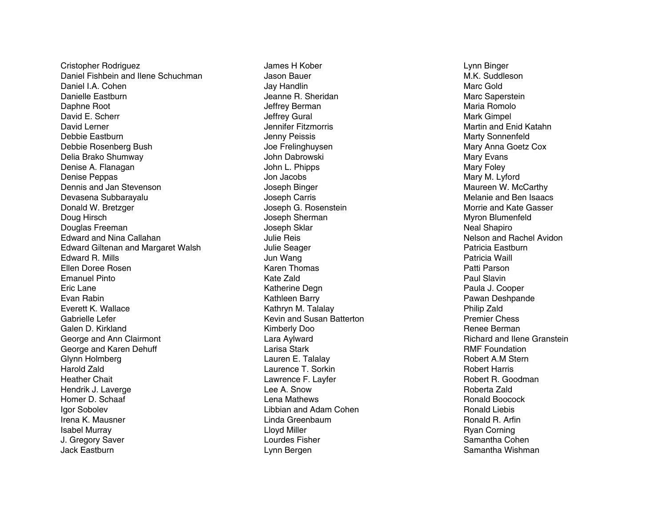Cristopher Rodriguez Daniel Fishbein and Ilene Schuchman Daniel I.A. Cohen Danielle Eastburn Daphne Root David E. Scherr David Lerner Debbie Eastburn Debbie Rosenberg Bush Delia Brako Shumway Denise A. Flanagan Denise Peppas Dennis and Jan Stevenson Devasena Subbarayalu Donald W. Bretzger Doug Hirsch Douglas Freeman Edward and Nina Callahan Edward Giltenan and Margaret Walsh E d w a r d R. Mills Ellen Doree Rosen Emanuel Pinto E ric L a n e E v a n R a bin Everett K. Wallace Gabrielle Lefer Galen D. Kirkland George and Ann Clairmont George and Karen Dehuff Glynn Holmberg H a r old Z ald Heather Chait Hendrik J. Laverge Homer D. Schaaf Igor Sobolev Irena K. Mausner Isabel Murray J. Gregory Saver Jack Eastburn

James H Kober Jason Bauer Jay Handlin Jeanne R. Sheridan Jeffrey Berman Jeffrey Gural Jennifer Fitzmorris J e n n y P eis sis Joe Frelinghuysen John Dabrowski John L. Phipps Jon Jacobs Joseph Binger Joseph Carris Joseph G. Rosenstein Joseph Sherman J o s e p h S kla r J ulie R eis Julie Seager Jun Wang Karen Thomas Kate Zald Katherine Degn Kathleen Barry Kathryn M. Talalay Kevin and Susan Batterton Kimberly Doo Lara Aylward Larisa Stark Lauren E. Talalay Laurence T. Sorkin Lawrence F. Layfer Lee A. Snow Lena Mathews Libbian and Adam Cohen Linda Greenbaum Llo y d Mille r Lourdes Fisher Lynn Bergen

Lynn Binger M.K. Suddleson Marc Gold Marc Saperstein Maria Romolo Mark Gimpel Martin and Enid Katahn Marty Sonnenfeld Mary Anna Goetz Cox Mary Evans Mary Foley Mary M. Lyford Maureen W. McCarthy Melanie and Ben Isaacs Morrie and Kate Gasser Myron Blumenfeld Neal Shapiro Nelson and Rachel Avidon Patricia Eastburn Patricia Waill Patti Parson Paul Slavin Paula J. Cooper Pawan Deshpande P hilip Z ald Premier Chess Renee Berman Richard and Ilene Granstein RMF Foundation Robert A.M Stern Robert Harris Robert R. Goodman Roberta Zald Ronald Boocock R o n ald Lie bis Ronald R. Arfin R y a n C o r nin g Samantha Cohen Samantha Wishman